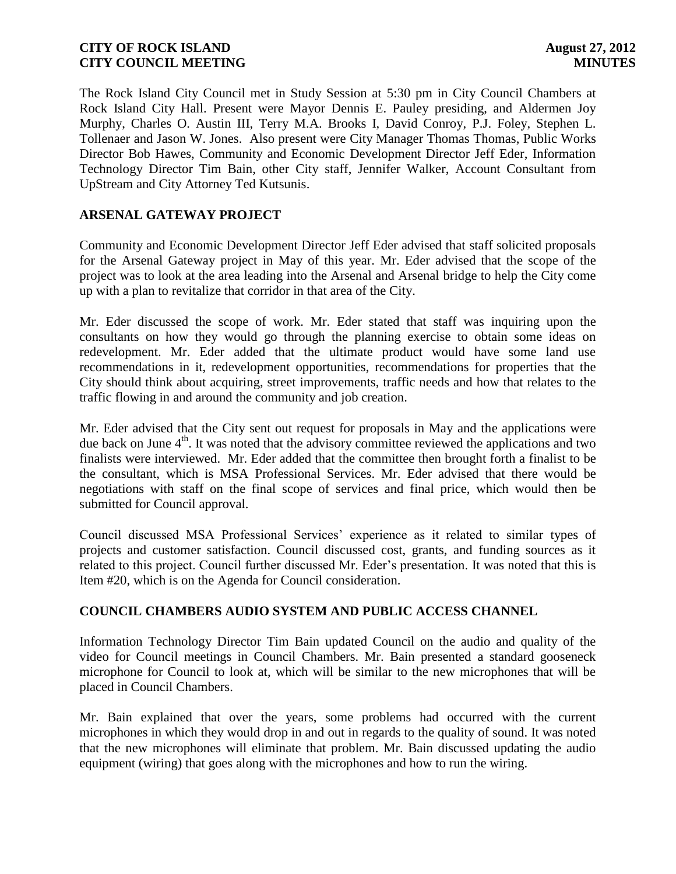The Rock Island City Council met in Study Session at 5:30 pm in City Council Chambers at Rock Island City Hall. Present were Mayor Dennis E. Pauley presiding, and Aldermen Joy Murphy, Charles O. Austin III, Terry M.A. Brooks I, David Conroy, P.J. Foley, Stephen L. Tollenaer and Jason W. Jones. Also present were City Manager Thomas Thomas, Public Works Director Bob Hawes, Community and Economic Development Director Jeff Eder, Information Technology Director Tim Bain, other City staff, Jennifer Walker, Account Consultant from UpStream and City Attorney Ted Kutsunis.

# **ARSENAL GATEWAY PROJECT**

Community and Economic Development Director Jeff Eder advised that staff solicited proposals for the Arsenal Gateway project in May of this year. Mr. Eder advised that the scope of the project was to look at the area leading into the Arsenal and Arsenal bridge to help the City come up with a plan to revitalize that corridor in that area of the City.

Mr. Eder discussed the scope of work. Mr. Eder stated that staff was inquiring upon the consultants on how they would go through the planning exercise to obtain some ideas on redevelopment. Mr. Eder added that the ultimate product would have some land use recommendations in it, redevelopment opportunities, recommendations for properties that the City should think about acquiring, street improvements, traffic needs and how that relates to the traffic flowing in and around the community and job creation.

Mr. Eder advised that the City sent out request for proposals in May and the applications were due back on June 4<sup>th</sup>. It was noted that the advisory committee reviewed the applications and two finalists were interviewed. Mr. Eder added that the committee then brought forth a finalist to be the consultant, which is MSA Professional Services. Mr. Eder advised that there would be negotiations with staff on the final scope of services and final price, which would then be submitted for Council approval.

Council discussed MSA Professional Services' experience as it related to similar types of projects and customer satisfaction. Council discussed cost, grants, and funding sources as it related to this project. Council further discussed Mr. Eder's presentation. It was noted that this is Item #20, which is on the Agenda for Council consideration.

### **COUNCIL CHAMBERS AUDIO SYSTEM AND PUBLIC ACCESS CHANNEL**

Information Technology Director Tim Bain updated Council on the audio and quality of the video for Council meetings in Council Chambers. Mr. Bain presented a standard gooseneck microphone for Council to look at, which will be similar to the new microphones that will be placed in Council Chambers.

Mr. Bain explained that over the years, some problems had occurred with the current microphones in which they would drop in and out in regards to the quality of sound. It was noted that the new microphones will eliminate that problem. Mr. Bain discussed updating the audio equipment (wiring) that goes along with the microphones and how to run the wiring.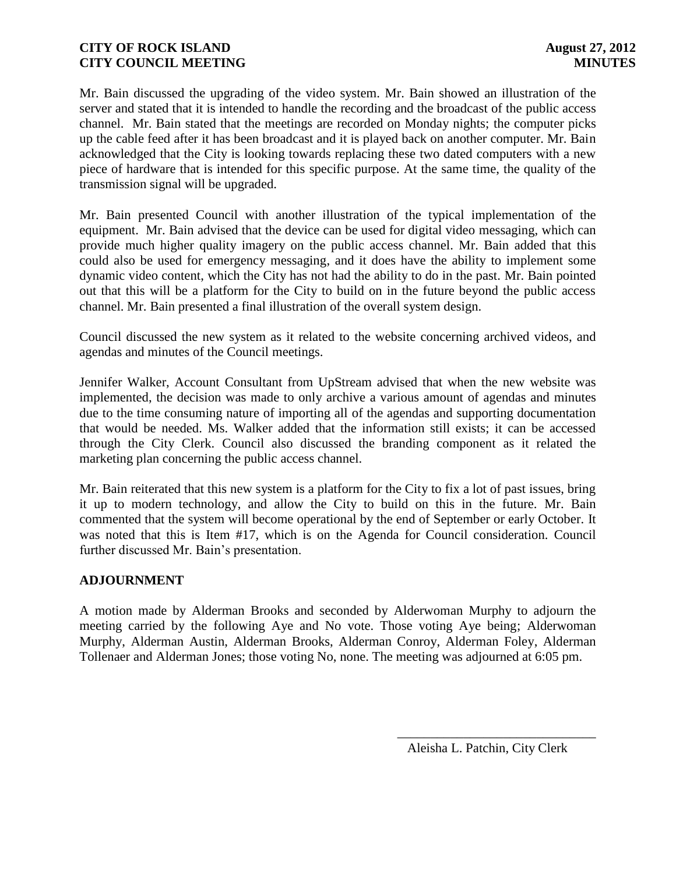Mr. Bain discussed the upgrading of the video system. Mr. Bain showed an illustration of the server and stated that it is intended to handle the recording and the broadcast of the public access channel. Mr. Bain stated that the meetings are recorded on Monday nights; the computer picks up the cable feed after it has been broadcast and it is played back on another computer. Mr. Bain acknowledged that the City is looking towards replacing these two dated computers with a new piece of hardware that is intended for this specific purpose. At the same time, the quality of the transmission signal will be upgraded.

Mr. Bain presented Council with another illustration of the typical implementation of the equipment. Mr. Bain advised that the device can be used for digital video messaging, which can provide much higher quality imagery on the public access channel. Mr. Bain added that this could also be used for emergency messaging, and it does have the ability to implement some dynamic video content, which the City has not had the ability to do in the past. Mr. Bain pointed out that this will be a platform for the City to build on in the future beyond the public access channel. Mr. Bain presented a final illustration of the overall system design.

Council discussed the new system as it related to the website concerning archived videos, and agendas and minutes of the Council meetings.

Jennifer Walker, Account Consultant from UpStream advised that when the new website was implemented, the decision was made to only archive a various amount of agendas and minutes due to the time consuming nature of importing all of the agendas and supporting documentation that would be needed. Ms. Walker added that the information still exists; it can be accessed through the City Clerk. Council also discussed the branding component as it related the marketing plan concerning the public access channel.

Mr. Bain reiterated that this new system is a platform for the City to fix a lot of past issues, bring it up to modern technology, and allow the City to build on this in the future. Mr. Bain commented that the system will become operational by the end of September or early October. It was noted that this is Item #17, which is on the Agenda for Council consideration. Council further discussed Mr. Bain's presentation.

### **ADJOURNMENT**

A motion made by Alderman Brooks and seconded by Alderwoman Murphy to adjourn the meeting carried by the following Aye and No vote. Those voting Aye being; Alderwoman Murphy, Alderman Austin, Alderman Brooks, Alderman Conroy, Alderman Foley, Alderman Tollenaer and Alderman Jones; those voting No, none. The meeting was adjourned at 6:05 pm.

> \_\_\_\_\_\_\_\_\_\_\_\_\_\_\_\_\_\_\_\_\_\_\_\_\_\_\_\_\_\_ Aleisha L. Patchin, City Clerk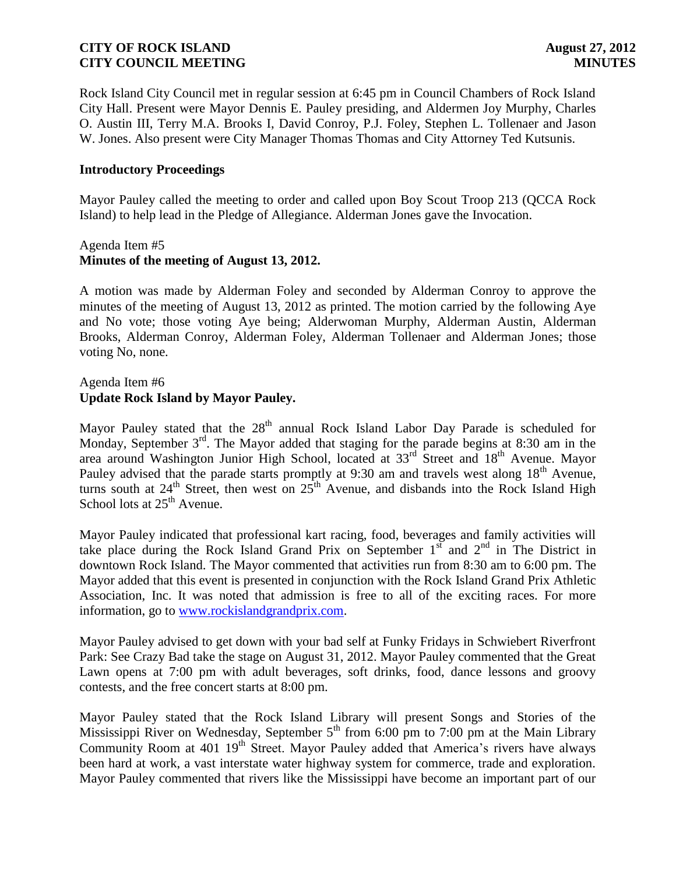Rock Island City Council met in regular session at 6:45 pm in Council Chambers of Rock Island City Hall. Present were Mayor Dennis E. Pauley presiding, and Aldermen Joy Murphy, Charles O. Austin III, Terry M.A. Brooks I, David Conroy, P.J. Foley, Stephen L. Tollenaer and Jason W. Jones. Also present were City Manager Thomas Thomas and City Attorney Ted Kutsunis.

#### **Introductory Proceedings**

Mayor Pauley called the meeting to order and called upon Boy Scout Troop 213 (QCCA Rock Island) to help lead in the Pledge of Allegiance. Alderman Jones gave the Invocation.

#### Agenda Item #5 **Minutes of the meeting of August 13, 2012.**

A motion was made by Alderman Foley and seconded by Alderman Conroy to approve the minutes of the meeting of August 13, 2012 as printed. The motion carried by the following Aye and No vote; those voting Aye being; Alderwoman Murphy, Alderman Austin, Alderman Brooks, Alderman Conroy, Alderman Foley, Alderman Tollenaer and Alderman Jones; those voting No, none.

# Agenda Item #6 **Update Rock Island by Mayor Pauley.**

Mayor Pauley stated that the  $28<sup>th</sup>$  annual Rock Island Labor Day Parade is scheduled for Monday, September  $3<sup>rd</sup>$ . The Mayor added that staging for the parade begins at 8:30 am in the area around Washington Junior High School, located at 33<sup>rd</sup> Street and 18<sup>th</sup> Avenue. Mayor Pauley advised that the parade starts promptly at 9:30 am and travels west along 18<sup>th</sup> Avenue, turns south at  $24^{th}$  Street, then west on  $25^{th}$  Avenue, and disbands into the Rock Island High School lots at  $25<sup>th</sup>$  Avenue.

Mayor Pauley indicated that professional kart racing, food, beverages and family activities will take place during the Rock Island Grand Prix on September  $1<sup>st</sup>$  and  $2<sup>nd</sup>$  in The District in downtown Rock Island. The Mayor commented that activities run from 8:30 am to 6:00 pm. The Mayor added that this event is presented in conjunction with the Rock Island Grand Prix Athletic Association, Inc. It was noted that admission is free to all of the exciting races. For more information, go to [www.rockislandgrandprix.com.](http://www.rockislandgrandprix.com/)

Mayor Pauley advised to get down with your bad self at Funky Fridays in Schwiebert Riverfront Park: See Crazy Bad take the stage on August 31, 2012. Mayor Pauley commented that the Great Lawn opens at 7:00 pm with adult beverages, soft drinks, food, dance lessons and groovy contests, and the free concert starts at 8:00 pm.

Mayor Pauley stated that the Rock Island Library will present Songs and Stories of the Mississippi River on Wednesday, September  $5<sup>th</sup>$  from 6:00 pm to 7:00 pm at the Main Library Community Room at  $401 \, 19$ <sup>th</sup> Street. Mayor Pauley added that America's rivers have always been hard at work, a vast interstate water highway system for commerce, trade and exploration. Mayor Pauley commented that rivers like the Mississippi have become an important part of our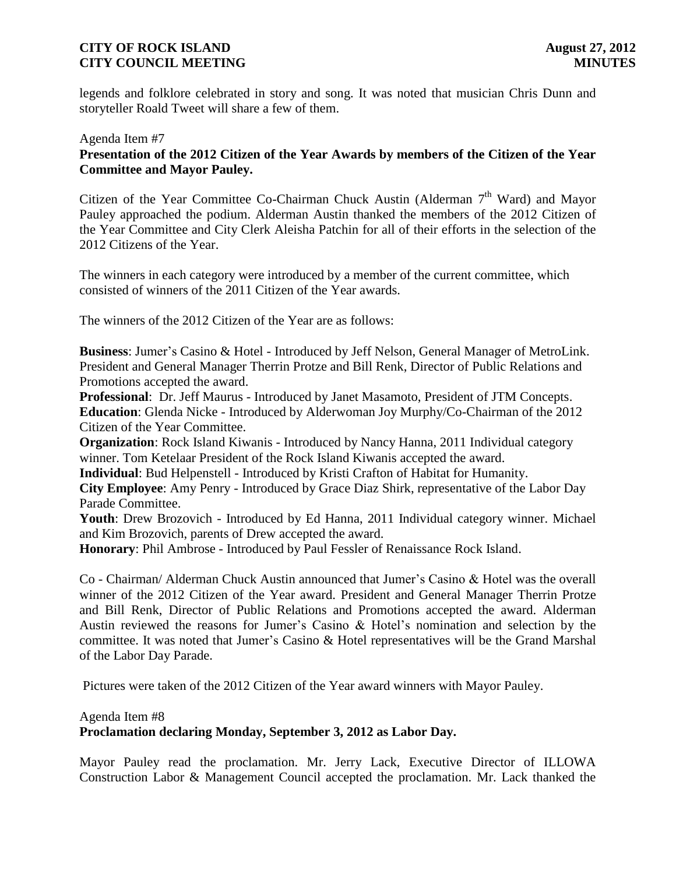legends and folklore celebrated in story and song. It was noted that musician Chris Dunn and storyteller Roald Tweet will share a few of them.

# Agenda Item #7 **Presentation of the 2012 Citizen of the Year Awards by members of the Citizen of the Year Committee and Mayor Pauley.**

Citizen of the Year Committee Co-Chairman Chuck Austin (Alderman 7<sup>th</sup> Ward) and Mayor Pauley approached the podium. Alderman Austin thanked the members of the 2012 Citizen of the Year Committee and City Clerk Aleisha Patchin for all of their efforts in the selection of the 2012 Citizens of the Year.

The winners in each category were introduced by a member of the current committee, which consisted of winners of the 2011 Citizen of the Year awards.

The winners of the 2012 Citizen of the Year are as follows:

**Business**: Jumer's Casino & Hotel - Introduced by Jeff Nelson, General Manager of MetroLink. President and General Manager Therrin Protze and Bill Renk, Director of Public Relations and Promotions accepted the award.

**Professional**: Dr. Jeff Maurus - Introduced by Janet Masamoto, President of JTM Concepts. **Education**: Glenda Nicke - Introduced by Alderwoman Joy Murphy/Co-Chairman of the 2012 Citizen of the Year Committee.

**Organization**: Rock Island Kiwanis - Introduced by Nancy Hanna, 2011 Individual category winner. Tom Ketelaar President of the Rock Island Kiwanis accepted the award.

**Individual**: Bud Helpenstell - Introduced by Kristi Crafton of Habitat for Humanity.

**City Employee**: Amy Penry - Introduced by Grace Diaz Shirk, representative of the Labor Day Parade Committee.

**Youth**: Drew Brozovich - Introduced by Ed Hanna, 2011 Individual category winner. Michael and Kim Brozovich, parents of Drew accepted the award.

**Honorary**: Phil Ambrose - Introduced by Paul Fessler of Renaissance Rock Island.

Co - Chairman/ Alderman Chuck Austin announced that Jumer's Casino & Hotel was the overall winner of the 2012 Citizen of the Year award. President and General Manager Therrin Protze and Bill Renk, Director of Public Relations and Promotions accepted the award. Alderman Austin reviewed the reasons for Jumer's Casino & Hotel's nomination and selection by the committee. It was noted that Jumer's Casino & Hotel representatives will be the Grand Marshal of the Labor Day Parade.

Pictures were taken of the 2012 Citizen of the Year award winners with Mayor Pauley.

Agenda Item #8

**Proclamation declaring Monday, September 3, 2012 as Labor Day.**

Mayor Pauley read the proclamation. Mr. Jerry Lack, Executive Director of ILLOWA Construction Labor & Management Council accepted the proclamation. Mr. Lack thanked the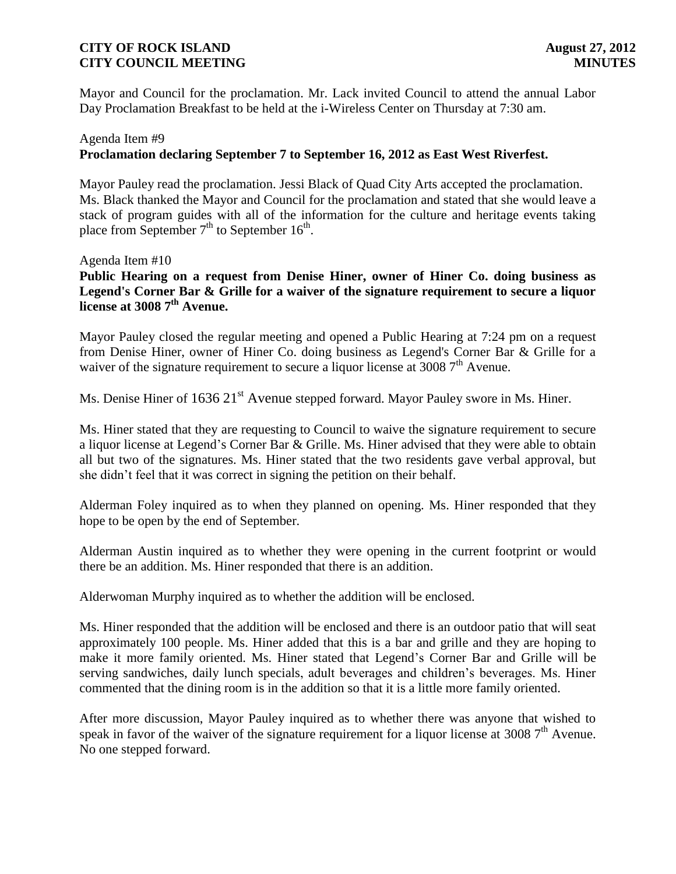Mayor and Council for the proclamation. Mr. Lack invited Council to attend the annual Labor Day Proclamation Breakfast to be held at the i-Wireless Center on Thursday at 7:30 am.

# Agenda Item #9 **Proclamation declaring September 7 to September 16, 2012 as East West Riverfest.**

Mayor Pauley read the proclamation. Jessi Black of Quad City Arts accepted the proclamation. Ms. Black thanked the Mayor and Council for the proclamation and stated that she would leave a stack of program guides with all of the information for the culture and heritage events taking place from September  $7<sup>th</sup>$  to September 16<sup>th</sup>.

#### Agenda Item #10

**Public Hearing on a request from Denise Hiner, owner of Hiner Co. doing business as Legend's Corner Bar & Grille for a waiver of the signature requirement to secure a liquor license at 3008 7th Avenue.** 

Mayor Pauley closed the regular meeting and opened a Public Hearing at 7:24 pm on a request from Denise Hiner, owner of Hiner Co. doing business as Legend's Corner Bar & Grille for a waiver of the signature requirement to secure a liquor license at 3008 7<sup>th</sup> Avenue.

Ms. Denise Hiner of 1636 21<sup>st</sup> Avenue stepped forward. Mayor Pauley swore in Ms. Hiner.

Ms. Hiner stated that they are requesting to Council to waive the signature requirement to secure a liquor license at Legend's Corner Bar & Grille. Ms. Hiner advised that they were able to obtain all but two of the signatures. Ms. Hiner stated that the two residents gave verbal approval, but she didn't feel that it was correct in signing the petition on their behalf.

Alderman Foley inquired as to when they planned on opening. Ms. Hiner responded that they hope to be open by the end of September.

Alderman Austin inquired as to whether they were opening in the current footprint or would there be an addition. Ms. Hiner responded that there is an addition.

Alderwoman Murphy inquired as to whether the addition will be enclosed.

Ms. Hiner responded that the addition will be enclosed and there is an outdoor patio that will seat approximately 100 people. Ms. Hiner added that this is a bar and grille and they are hoping to make it more family oriented. Ms. Hiner stated that Legend's Corner Bar and Grille will be serving sandwiches, daily lunch specials, adult beverages and children's beverages. Ms. Hiner commented that the dining room is in the addition so that it is a little more family oriented.

After more discussion, Mayor Pauley inquired as to whether there was anyone that wished to speak in favor of the waiver of the signature requirement for a liquor license at 3008  $7<sup>th</sup>$  Avenue. No one stepped forward.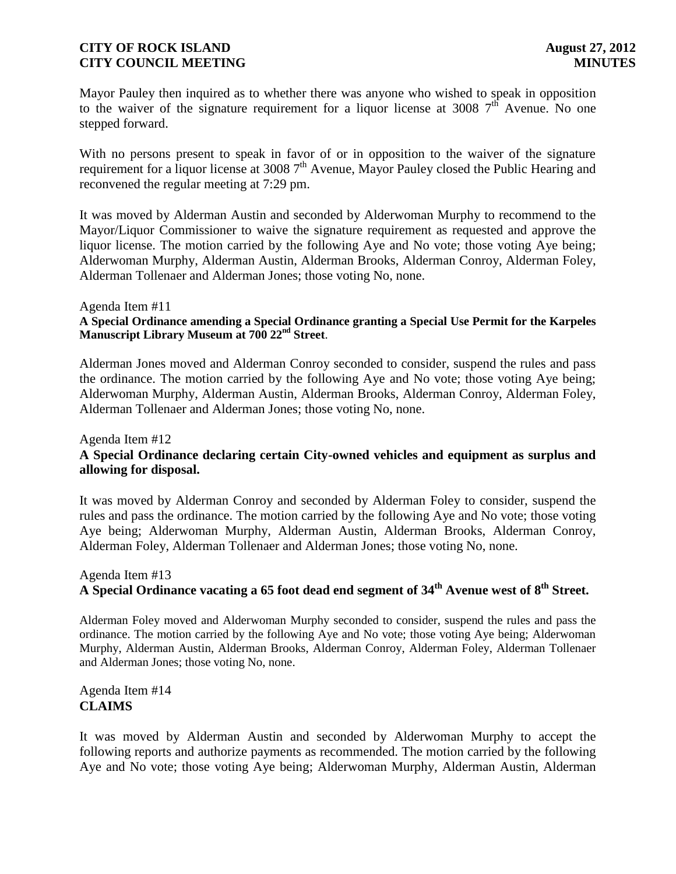Mayor Pauley then inquired as to whether there was anyone who wished to speak in opposition to the waiver of the signature requirement for a liquor license at 3008  $7<sup>th</sup>$  Avenue. No one stepped forward.

With no persons present to speak in favor of or in opposition to the waiver of the signature requirement for a liquor license at 3008 7<sup>th</sup> Avenue, Mayor Pauley closed the Public Hearing and reconvened the regular meeting at 7:29 pm.

It was moved by Alderman Austin and seconded by Alderwoman Murphy to recommend to the Mayor/Liquor Commissioner to waive the signature requirement as requested and approve the liquor license. The motion carried by the following Aye and No vote; those voting Aye being; Alderwoman Murphy, Alderman Austin, Alderman Brooks, Alderman Conroy, Alderman Foley, Alderman Tollenaer and Alderman Jones; those voting No, none.

#### Agenda Item #11

#### **A Special Ordinance amending a Special Ordinance granting a Special Use Permit for the Karpeles Manuscript Library Museum at 700 22nd Street**.

Alderman Jones moved and Alderman Conroy seconded to consider, suspend the rules and pass the ordinance. The motion carried by the following Aye and No vote; those voting Aye being; Alderwoman Murphy, Alderman Austin, Alderman Brooks, Alderman Conroy, Alderman Foley, Alderman Tollenaer and Alderman Jones; those voting No, none.

# Agenda Item #12 **A Special Ordinance declaring certain City-owned vehicles and equipment as surplus and allowing for disposal.**

It was moved by Alderman Conroy and seconded by Alderman Foley to consider, suspend the rules and pass the ordinance. The motion carried by the following Aye and No vote; those voting Aye being; Alderwoman Murphy, Alderman Austin, Alderman Brooks, Alderman Conroy, Alderman Foley, Alderman Tollenaer and Alderman Jones; those voting No, none.

# Agenda Item #13 **A Special Ordinance vacating a 65 foot dead end segment of 34th Avenue west of 8 th Street.**

Alderman Foley moved and Alderwoman Murphy seconded to consider, suspend the rules and pass the ordinance. The motion carried by the following Aye and No vote; those voting Aye being; Alderwoman Murphy, Alderman Austin, Alderman Brooks, Alderman Conroy, Alderman Foley, Alderman Tollenaer and Alderman Jones; those voting No, none.

### Agenda Item #14 **CLAIMS**

It was moved by Alderman Austin and seconded by Alderwoman Murphy to accept the following reports and authorize payments as recommended. The motion carried by the following Aye and No vote; those voting Aye being; Alderwoman Murphy, Alderman Austin, Alderman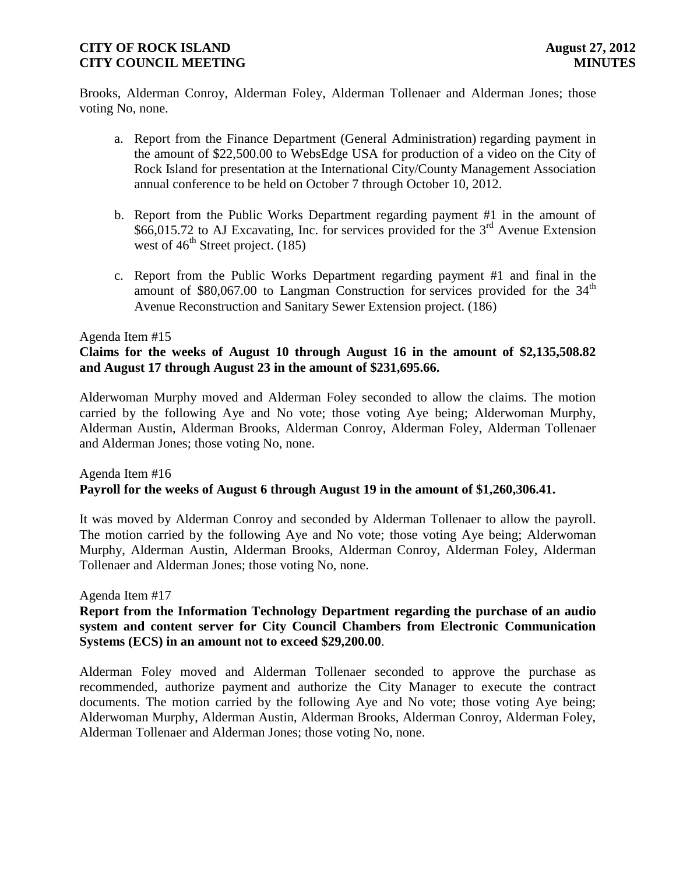Brooks, Alderman Conroy, Alderman Foley, Alderman Tollenaer and Alderman Jones; those voting No, none.

- a. Report from the Finance Department (General Administration) regarding payment in the amount of \$22,500.00 to WebsEdge USA for production of a video on the City of Rock Island for presentation at the International City/County Management Association annual conference to be held on October 7 through October 10, 2012.
- b. Report from the Public Works Department regarding payment #1 in the amount of  $$66,015.72$  to AJ Excavating, Inc. for services provided for the  $3<sup>rd</sup>$  Avenue Extension west of  $46^{\text{th}}$  Street project. (185)
- c. Report from the Public Works Department regarding payment #1 and final in the amount of  $$80,067.00$  to Langman Construction for services provided for the  $34<sup>th</sup>$ Avenue Reconstruction and Sanitary Sewer Extension project. (186)

#### Agenda Item #15

### **Claims for the weeks of August 10 through August 16 in the amount of \$2,135,508.82 and August 17 through August 23 in the amount of \$231,695.66.**

Alderwoman Murphy moved and Alderman Foley seconded to allow the claims. The motion carried by the following Aye and No vote; those voting Aye being; Alderwoman Murphy, Alderman Austin, Alderman Brooks, Alderman Conroy, Alderman Foley, Alderman Tollenaer and Alderman Jones; those voting No, none.

### Agenda Item #16 **Payroll for the weeks of August 6 through August 19 in the amount of \$1,260,306.41.**

It was moved by Alderman Conroy and seconded by Alderman Tollenaer to allow the payroll. The motion carried by the following Aye and No vote; those voting Aye being; Alderwoman Murphy, Alderman Austin, Alderman Brooks, Alderman Conroy, Alderman Foley, Alderman Tollenaer and Alderman Jones; those voting No, none.

### Agenda Item #17

### **Report from the Information Technology Department regarding the purchase of an audio system and content server for City Council Chambers from Electronic Communication Systems (ECS) in an amount not to exceed \$29,200.00**.

Alderman Foley moved and Alderman Tollenaer seconded to approve the purchase as recommended, authorize payment and authorize the City Manager to execute the contract documents. The motion carried by the following Aye and No vote; those voting Aye being; Alderwoman Murphy, Alderman Austin, Alderman Brooks, Alderman Conroy, Alderman Foley, Alderman Tollenaer and Alderman Jones; those voting No, none.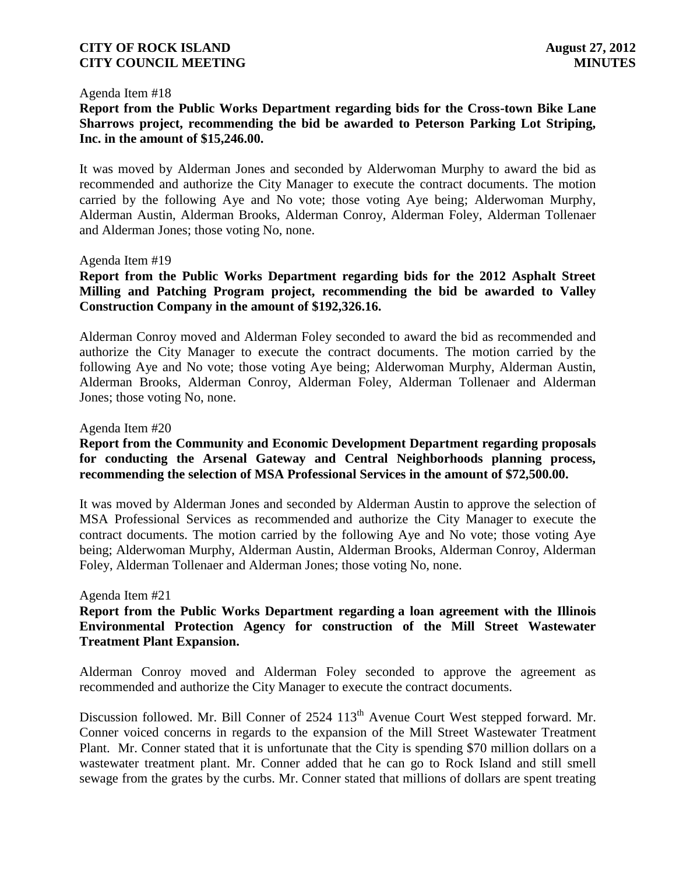#### Agenda Item #18

**Report from the Public Works Department regarding bids for the Cross-town Bike Lane Sharrows project, recommending the bid be awarded to Peterson Parking Lot Striping, Inc. in the amount of \$15,246.00.**

It was moved by Alderman Jones and seconded by Alderwoman Murphy to award the bid as recommended and authorize the City Manager to execute the contract documents. The motion carried by the following Aye and No vote; those voting Aye being; Alderwoman Murphy, Alderman Austin, Alderman Brooks, Alderman Conroy, Alderman Foley, Alderman Tollenaer and Alderman Jones; those voting No, none.

#### Agenda Item #19

# **Report from the Public Works Department regarding bids for the 2012 Asphalt Street Milling and Patching Program project, recommending the bid be awarded to Valley Construction Company in the amount of \$192,326.16.**

Alderman Conroy moved and Alderman Foley seconded to award the bid as recommended and authorize the City Manager to execute the contract documents. The motion carried by the following Aye and No vote; those voting Aye being; Alderwoman Murphy, Alderman Austin, Alderman Brooks, Alderman Conroy, Alderman Foley, Alderman Tollenaer and Alderman Jones; those voting No, none.

#### Agenda Item #20

# **Report from the Community and Economic Development Department regarding proposals for conducting the Arsenal Gateway and Central Neighborhoods planning process, recommending the selection of MSA Professional Services in the amount of \$72,500.00.**

It was moved by Alderman Jones and seconded by Alderman Austin to approve the selection of MSA Professional Services as recommended and authorize the City Manager to execute the contract documents. The motion carried by the following Aye and No vote; those voting Aye being; Alderwoman Murphy, Alderman Austin, Alderman Brooks, Alderman Conroy, Alderman Foley, Alderman Tollenaer and Alderman Jones; those voting No, none.

#### Agenda Item #21

### **Report from the Public Works Department regarding a loan agreement with the Illinois Environmental Protection Agency for construction of the Mill Street Wastewater Treatment Plant Expansion.**

Alderman Conroy moved and Alderman Foley seconded to approve the agreement as recommended and authorize the City Manager to execute the contract documents.

Discussion followed. Mr. Bill Conner of 2524 113<sup>th</sup> Avenue Court West stepped forward. Mr. Conner voiced concerns in regards to the expansion of the Mill Street Wastewater Treatment Plant. Mr. Conner stated that it is unfortunate that the City is spending \$70 million dollars on a wastewater treatment plant. Mr. Conner added that he can go to Rock Island and still smell sewage from the grates by the curbs. Mr. Conner stated that millions of dollars are spent treating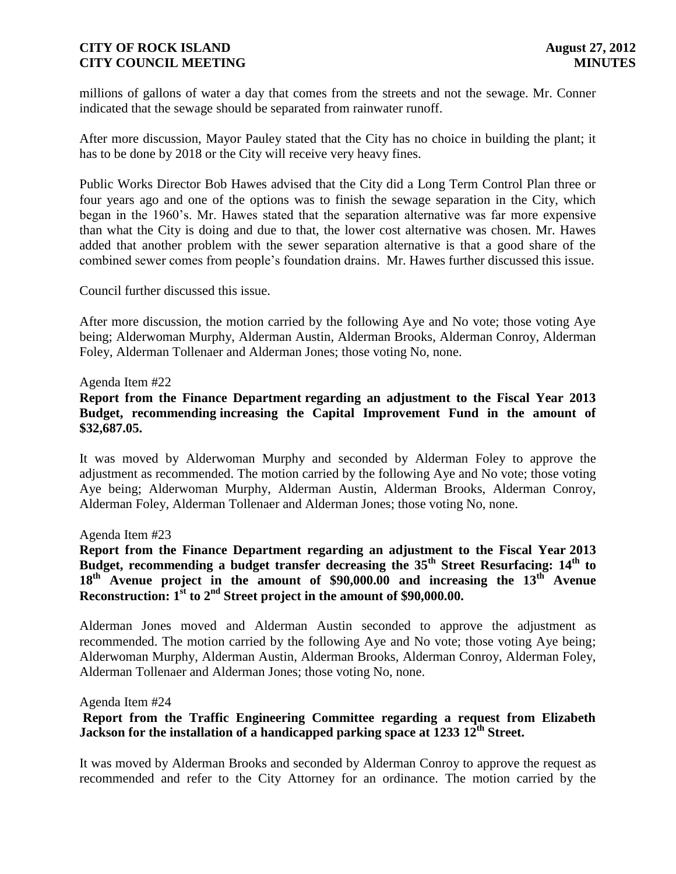millions of gallons of water a day that comes from the streets and not the sewage. Mr. Conner indicated that the sewage should be separated from rainwater runoff.

After more discussion, Mayor Pauley stated that the City has no choice in building the plant; it has to be done by 2018 or the City will receive very heavy fines.

Public Works Director Bob Hawes advised that the City did a Long Term Control Plan three or four years ago and one of the options was to finish the sewage separation in the City, which began in the 1960's. Mr. Hawes stated that the separation alternative was far more expensive than what the City is doing and due to that, the lower cost alternative was chosen. Mr. Hawes added that another problem with the sewer separation alternative is that a good share of the combined sewer comes from people's foundation drains. Mr. Hawes further discussed this issue.

Council further discussed this issue.

After more discussion, the motion carried by the following Aye and No vote; those voting Aye being; Alderwoman Murphy, Alderman Austin, Alderman Brooks, Alderman Conroy, Alderman Foley, Alderman Tollenaer and Alderman Jones; those voting No, none.

#### Agenda Item #22

### **Report from the Finance Department regarding an adjustment to the Fiscal Year 2013 Budget, recommending increasing the Capital Improvement Fund in the amount of \$32,687.05.**

It was moved by Alderwoman Murphy and seconded by Alderman Foley to approve the adjustment as recommended. The motion carried by the following Aye and No vote; those voting Aye being; Alderwoman Murphy, Alderman Austin, Alderman Brooks, Alderman Conroy, Alderman Foley, Alderman Tollenaer and Alderman Jones; those voting No, none.

#### Agenda Item #23

**Report from the Finance Department regarding an adjustment to the Fiscal Year 2013 Budget, recommending a budget transfer decreasing the 35th Street Resurfacing: 14th to 18th Avenue project in the amount of \$90,000.00 and increasing the 13th Avenue Reconstruction: 1st to 2nd Street project in the amount of \$90,000.00.**

Alderman Jones moved and Alderman Austin seconded to approve the adjustment as recommended. The motion carried by the following Aye and No vote; those voting Aye being; Alderwoman Murphy, Alderman Austin, Alderman Brooks, Alderman Conroy, Alderman Foley, Alderman Tollenaer and Alderman Jones; those voting No, none.

#### Agenda Item #24

# **Report from the Traffic Engineering Committee regarding a request from Elizabeth Jackson for the installation of a handicapped parking space at 1233 12th Street.**

It was moved by Alderman Brooks and seconded by Alderman Conroy to approve the request as recommended and refer to the City Attorney for an ordinance. The motion carried by the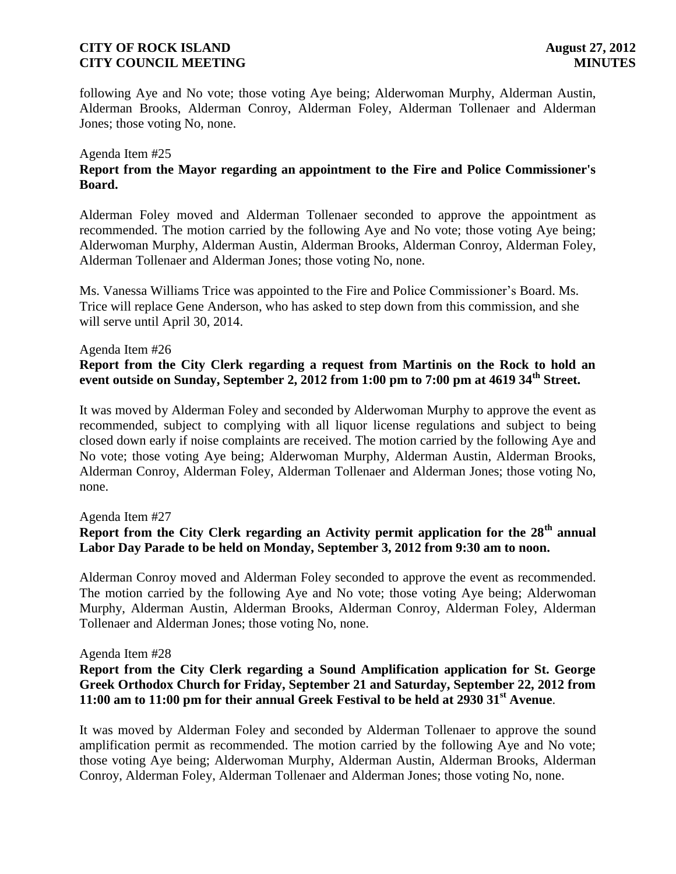following Aye and No vote; those voting Aye being; Alderwoman Murphy, Alderman Austin, Alderman Brooks, Alderman Conroy, Alderman Foley, Alderman Tollenaer and Alderman Jones; those voting No, none.

#### Agenda Item #25

# **Report from the Mayor regarding an appointment to the Fire and Police Commissioner's Board.**

Alderman Foley moved and Alderman Tollenaer seconded to approve the appointment as recommended. The motion carried by the following Aye and No vote; those voting Aye being; Alderwoman Murphy, Alderman Austin, Alderman Brooks, Alderman Conroy, Alderman Foley, Alderman Tollenaer and Alderman Jones; those voting No, none.

Ms. Vanessa Williams Trice was appointed to the Fire and Police Commissioner's Board. Ms. Trice will replace Gene Anderson, who has asked to step down from this commission, and she will serve until April 30, 2014.

#### Agenda Item #26

# **Report from the City Clerk regarding a request from Martinis on the Rock to hold an event outside on Sunday, September 2, 2012 from 1:00 pm to 7:00 pm at 4619 34th Street.**

It was moved by Alderman Foley and seconded by Alderwoman Murphy to approve the event as recommended, subject to complying with all liquor license regulations and subject to being closed down early if noise complaints are received. The motion carried by the following Aye and No vote; those voting Aye being; Alderwoman Murphy, Alderman Austin, Alderman Brooks, Alderman Conroy, Alderman Foley, Alderman Tollenaer and Alderman Jones; those voting No, none.

#### Agenda Item #27

# **Report from the City Clerk regarding an Activity permit application for the 28th annual Labor Day Parade to be held on Monday, September 3, 2012 from 9:30 am to noon.**

Alderman Conroy moved and Alderman Foley seconded to approve the event as recommended. The motion carried by the following Aye and No vote; those voting Aye being; Alderwoman Murphy, Alderman Austin, Alderman Brooks, Alderman Conroy, Alderman Foley, Alderman Tollenaer and Alderman Jones; those voting No, none.

#### Agenda Item #28

# **Report from the City Clerk regarding a Sound Amplification application for St. George Greek Orthodox Church for Friday, September 21 and Saturday, September 22, 2012 from 11:00 am to 11:00 pm for their annual Greek Festival to be held at 2930 31st Avenue**.

It was moved by Alderman Foley and seconded by Alderman Tollenaer to approve the sound amplification permit as recommended. The motion carried by the following Aye and No vote; those voting Aye being; Alderwoman Murphy, Alderman Austin, Alderman Brooks, Alderman Conroy, Alderman Foley, Alderman Tollenaer and Alderman Jones; those voting No, none.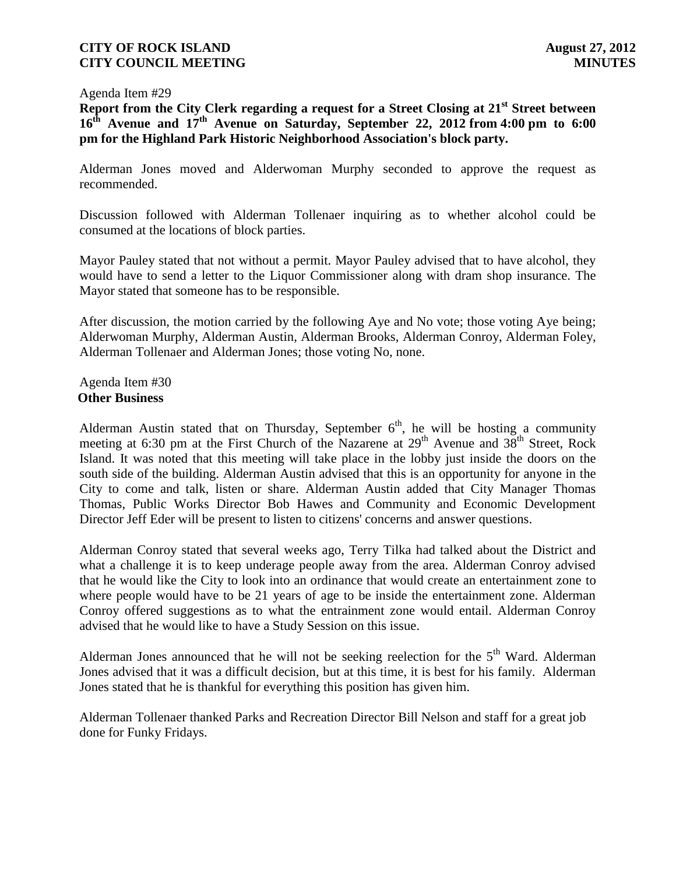#### Agenda Item #29

**Report from the City Clerk regarding a request for a Street Closing at 21st Street between 16th Avenue and 17 th Avenue on Saturday, September 22, 2012 from 4:00 pm to 6:00 pm for the Highland Park Historic Neighborhood Association's block party.**

Alderman Jones moved and Alderwoman Murphy seconded to approve the request as recommended.

Discussion followed with Alderman Tollenaer inquiring as to whether alcohol could be consumed at the locations of block parties.

Mayor Pauley stated that not without a permit. Mayor Pauley advised that to have alcohol, they would have to send a letter to the Liquor Commissioner along with dram shop insurance. The Mayor stated that someone has to be responsible.

After discussion, the motion carried by the following Aye and No vote; those voting Aye being; Alderwoman Murphy, Alderman Austin, Alderman Brooks, Alderman Conroy, Alderman Foley, Alderman Tollenaer and Alderman Jones; those voting No, none.

Agenda Item #30 **Other Business**

Alderman Austin stated that on Thursday, September  $6<sup>th</sup>$ , he will be hosting a community meeting at 6:30 pm at the First Church of the Nazarene at  $29<sup>th</sup>$  Avenue and  $38<sup>th</sup>$  Street, Rock Island. It was noted that this meeting will take place in the lobby just inside the doors on the south side of the building. Alderman Austin advised that this is an opportunity for anyone in the City to come and talk, listen or share. Alderman Austin added that City Manager Thomas Thomas, Public Works Director Bob Hawes and Community and Economic Development Director Jeff Eder will be present to listen to citizens' concerns and answer questions.

Alderman Conroy stated that several weeks ago, Terry Tilka had talked about the District and what a challenge it is to keep underage people away from the area. Alderman Conroy advised that he would like the City to look into an ordinance that would create an entertainment zone to where people would have to be 21 years of age to be inside the entertainment zone. Alderman Conroy offered suggestions as to what the entrainment zone would entail. Alderman Conroy advised that he would like to have a Study Session on this issue.

Alderman Jones announced that he will not be seeking reelection for the  $5<sup>th</sup>$  Ward. Alderman Jones advised that it was a difficult decision, but at this time, it is best for his family. Alderman Jones stated that he is thankful for everything this position has given him.

Alderman Tollenaer thanked Parks and Recreation Director Bill Nelson and staff for a great job done for Funky Fridays.